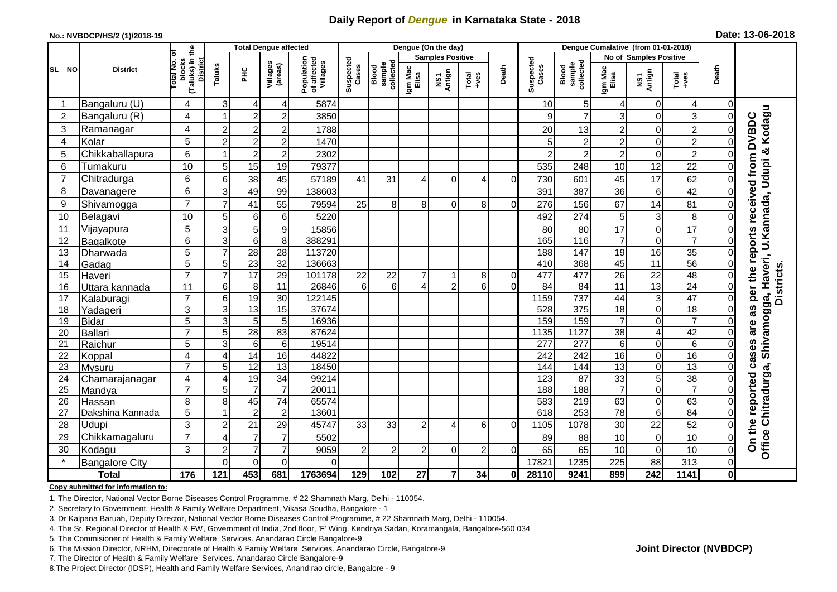## **Daily Report of** *Dengue* **in Karnataka State - 2018**

#### **No.: NVBDCP/HS/2 (1)/2018-19**

|  | Date: 13-06-2018 |  |
|--|------------------|--|
|--|------------------|--|

|                |                       |                |                                                              | <b>Total Dengue affected</b> |                 |                     | Dengue (On the day)                   |                    |                              |                         |                |                                                                                                                                                                                                                                                                                                                                                                                                             |                | Dengue Cumalative (from 01-01-2018) |                              |                                                    |                 |                |                                         |  |
|----------------|-----------------------|----------------|--------------------------------------------------------------|------------------------------|-----------------|---------------------|---------------------------------------|--------------------|------------------------------|-------------------------|----------------|-------------------------------------------------------------------------------------------------------------------------------------------------------------------------------------------------------------------------------------------------------------------------------------------------------------------------------------------------------------------------------------------------------------|----------------|-------------------------------------|------------------------------|----------------------------------------------------|-----------------|----------------|-----------------------------------------|--|
|                |                       |                |                                                              |                              |                 |                     |                                       |                    |                              | <b>Samples Positive</b> |                |                                                                                                                                                                                                                                                                                                                                                                                                             |                |                                     |                              | <b>No of Samples Positive</b>                      |                 |                |                                         |  |
| SL NO          | <b>District</b>       |                | (Taluks) in the<br>lotal No. of<br>blocks<br><b>District</b> | Taluks                       | ЭHС             | Villages<br>(areas) | Population<br>of affected<br>Villages | Suspected<br>Cases | sample<br>collected<br>Blood | Igm Mac<br>Elisa        | NS1<br>Antign  | $\begin{array}{c}\n\text{Total} \\ \text{1-4} \\ \text{1-4} \\ \text{1-4} \\ \text{1-4} \\ \text{1-4} \\ \text{1-4} \\ \text{1-4} \\ \text{1-4} \\ \text{1-4} \\ \text{1-4} \\ \text{1-4} \\ \text{1-4} \\ \text{1-4} \\ \text{1-4} \\ \text{1-4} \\ \text{1-4} \\ \text{1-4} \\ \text{1-4} \\ \text{1-4} \\ \text{1-4} \\ \text{1-4} \\ \text{1-4} \\ \text{1-4} \\ \text{1-4} \\ \text{1-4} \\ \text{1-4$ | Death          | Suspected<br>Cases                  | sample<br>collected<br>Blood | Igm Mad<br>Elisa<br>NS1<br>Antign<br>Total<br>+ves |                 | Death          |                                         |  |
|                | Bangaluru (U)         | 4              | 3                                                            | $\overline{4}$               | 4               | 5874                |                                       |                    |                              |                         |                |                                                                                                                                                                                                                                                                                                                                                                                                             | 10             | 5                                   | 4                            | 0                                                  | 4               | $\overline{0}$ |                                         |  |
| $\overline{2}$ | Bangaluru (R)         | 4              |                                                              | $\overline{c}$               | $\overline{c}$  | 3850                |                                       |                    |                              |                         |                |                                                                                                                                                                                                                                                                                                                                                                                                             | 9              | $\overline{7}$                      | 3                            | $\Omega$                                           | 3               | $\Omega$       |                                         |  |
| 3              | Ramanagar             | 4              | $\overline{c}$                                               | $\overline{c}$               | $\overline{2}$  | 1788                |                                       |                    |                              |                         |                |                                                                                                                                                                                                                                                                                                                                                                                                             | 20             | 13                                  | $\overline{2}$               | 0                                                  | $\overline{c}$  | 0              | Kodagu<br>received from DVBDC           |  |
| $\overline{4}$ | Kolar                 | 5              | $\overline{2}$                                               | $\overline{2}$               | $\overline{2}$  | 1470                |                                       |                    |                              |                         |                |                                                                                                                                                                                                                                                                                                                                                                                                             | $5\vert$       | 2                                   | $\overline{2}$               | $\mathbf 0$                                        | $\overline{c}$  | $\Omega$       |                                         |  |
| 5              | Chikkaballapura       | 6              |                                                              | $\overline{c}$               | $\overline{c}$  | 2302                |                                       |                    |                              |                         |                |                                                                                                                                                                                                                                                                                                                                                                                                             | $\overline{2}$ | $\overline{c}$                      | $\overline{2}$               | $\mathbf 0$                                        | $\overline{c}$  | ΩI             |                                         |  |
| 6              | Tumakuru              | 10             | 5                                                            | 15                           | 19              | 79377               |                                       |                    |                              |                         |                |                                                                                                                                                                                                                                                                                                                                                                                                             | 535            | 248                                 | 10                           | 12                                                 | 22              | 0              | U.Kannada, Udupi &                      |  |
| $\overline{7}$ | Chitradurga           | 6              | 6                                                            | 38                           | 45              | 57189               | 41                                    | 31                 | 4                            | $\Omega$                |                | 0                                                                                                                                                                                                                                                                                                                                                                                                           | 730            | 601                                 | 45                           | 17                                                 | 62              |                |                                         |  |
| 8              | Davanagere            | $6\phantom{1}$ | 3                                                            | 49                           | 99              | 138603              |                                       |                    |                              |                         |                |                                                                                                                                                                                                                                                                                                                                                                                                             | 391            | 387                                 | 36                           | 6                                                  | 42              |                |                                         |  |
| 9              | Shivamogga            | $\overline{7}$ | $\overline{7}$                                               | 41                           | 55              | 79594               | 25                                    | 8                  | 8                            | $\mathbf 0$             | 8              | 0                                                                                                                                                                                                                                                                                                                                                                                                           | 276            | 156                                 | 67                           | 14                                                 | 81              | 01             |                                         |  |
| 10             | Belagavi              | 10             | 5                                                            | 6                            | 6               | 5220                |                                       |                    |                              |                         |                |                                                                                                                                                                                                                                                                                                                                                                                                             | 492            | 274                                 | 5                            | 3                                                  | 8               | $\Omega$       |                                         |  |
| 11             | Vijayapura            | 5              | 3                                                            | $\sqrt{5}$                   | 9               | 15856               |                                       |                    |                              |                         |                |                                                                                                                                                                                                                                                                                                                                                                                                             | 80             | 80                                  | 17                           | $\mathbf 0$                                        | 17              | 0              |                                         |  |
| 12             | Bagalkote             | 6              | 3                                                            | 6                            | 8               | 388291              |                                       |                    |                              |                         |                |                                                                                                                                                                                                                                                                                                                                                                                                             | 165            | 116                                 | $\overline{7}$               | $\mathbf 0$                                        | $\overline{7}$  | $\Omega$       |                                         |  |
| 13             | Dharwada              | $\overline{5}$ | $\overline{7}$                                               | $\overline{28}$              | $\overline{28}$ | 113720              |                                       |                    |                              |                         |                |                                                                                                                                                                                                                                                                                                                                                                                                             | 188            | 147                                 | $\overline{19}$              | 16                                                 | $\overline{35}$ | $\Omega$       | as per the reports                      |  |
| 14             | Gadag                 | $\overline{5}$ | 5                                                            | $\overline{23}$              | $\overline{32}$ | 136663              |                                       |                    |                              |                         |                |                                                                                                                                                                                                                                                                                                                                                                                                             | 410            | 368                                 | 45                           | $\overline{11}$                                    | $\overline{56}$ | $\Omega$       |                                         |  |
| 15             | Haveri                | $\overline{7}$ | $\overline{7}$                                               | 17                           | 29              | 101178              | 22                                    | 22                 | $\overline{7}$               | 1                       | 8              | $\overline{0}$                                                                                                                                                                                                                                                                                                                                                                                              | 477            | 477                                 | 26                           | 22                                                 | 48              | $\overline{0}$ | Shivamogga, Haveri,<br><b>Districts</b> |  |
| 16             | Uttara kannada        | 11             | 6                                                            | 8                            | 11              | 26846               | 6                                     | $6\phantom{1}$     | 4 <sup>1</sup>               | $\overline{2}$          | 6              | $\Omega$                                                                                                                                                                                                                                                                                                                                                                                                    | 84             | 84                                  | $\overline{11}$              | 13                                                 | 24              | $\overline{0}$ |                                         |  |
| 17             | Kalaburagi            | $\overline{7}$ | 6                                                            | 19                           | 30              | 122145              |                                       |                    |                              |                         |                |                                                                                                                                                                                                                                                                                                                                                                                                             | 1159           | 737                                 | 44                           | 3                                                  | 47              | $\overline{0}$ |                                         |  |
| 18             | Yadageri              | 3              | 3                                                            | 13                           | 15              | 37674               |                                       |                    |                              |                         |                |                                                                                                                                                                                                                                                                                                                                                                                                             | 528            | 375                                 | 18                           | 0                                                  | 18              | $\Omega$       |                                         |  |
| 19             | <b>Bidar</b>          | $\overline{5}$ | 3                                                            | $\overline{5}$               | $\overline{5}$  | 16936               |                                       |                    |                              |                         |                |                                                                                                                                                                                                                                                                                                                                                                                                             | 159            | 159                                 | $\overline{7}$               | $\Omega$                                           | $\overline{7}$  | $\Omega$       | are                                     |  |
| 20             | Ballari               | $\overline{7}$ | 5                                                            | 28                           | 83              | 87624               |                                       |                    |                              |                         |                |                                                                                                                                                                                                                                                                                                                                                                                                             | 1135           | 1127                                | $\overline{38}$              | 4                                                  | 42              | $\Omega$       |                                         |  |
| 21             | Raichur               | 5              | 3                                                            | $6\phantom{1}6$              | $6\phantom{1}6$ | 19514               |                                       |                    |                              |                         |                |                                                                                                                                                                                                                                                                                                                                                                                                             | 277            | 277                                 | 6                            | $\mathbf 0$                                        | $\overline{6}$  | $\Omega$       | cases                                   |  |
| 22             | Koppal                | $\overline{4}$ | $\overline{4}$                                               | 14                           | 16              | 44822               |                                       |                    |                              |                         |                |                                                                                                                                                                                                                                                                                                                                                                                                             | 242            | $\overline{242}$                    | 16                           | $\mathbf 0$                                        | 16              | $\Omega$       |                                         |  |
| 23             | Mysuru                | $\overline{7}$ | 5                                                            | 12                           | 13              | 18450               |                                       |                    |                              |                         |                |                                                                                                                                                                                                                                                                                                                                                                                                             | 144            | 144                                 | 13                           | $\mathbf 0$                                        | 13              | $\Omega$       |                                         |  |
| 24             | Chamarajanagar        | 4              | $\overline{4}$                                               | $\overline{19}$              | 34              | 99214               |                                       |                    |                              |                         |                |                                                                                                                                                                                                                                                                                                                                                                                                             | 123            | $\overline{87}$                     | 33                           | 5                                                  | 38              | 0              | Chitradurga,                            |  |
| 25             | Mandya                | $\overline{7}$ | 5                                                            | $\overline{7}$               | $\overline{7}$  | 20011               |                                       |                    |                              |                         |                |                                                                                                                                                                                                                                                                                                                                                                                                             | 188            | 188                                 | $\overline{7}$               | $\mathbf 0$                                        | $\overline{7}$  | $\Omega$       |                                         |  |
| 26             | Hassan                | 8              | 8                                                            | 45                           | 74              | 65574               |                                       |                    |                              |                         |                |                                                                                                                                                                                                                                                                                                                                                                                                             | 583            | 219                                 | 63                           | $\mathbf 0$                                        | 63              | 0              |                                         |  |
| 27             | Dakshina Kannada      | 5              |                                                              | $\overline{2}$               | $\overline{c}$  | 13601               |                                       |                    |                              |                         |                |                                                                                                                                                                                                                                                                                                                                                                                                             | 618            | 253                                 | $\overline{78}$              | 6                                                  | $\overline{84}$ | $\overline{0}$ |                                         |  |
| 28             | Udupi                 | 3              | $\overline{2}$                                               | 21                           | 29              | 45747               | 33                                    | 33                 | $\overline{2}$               | 4                       | 6              | $\Omega$                                                                                                                                                                                                                                                                                                                                                                                                    | 1105           | 1078                                | 30                           | 22                                                 | 52              | $\Omega$       |                                         |  |
| 29             | Chikkamagaluru        | $\overline{7}$ | 4                                                            | 7                            | $\overline{7}$  | 5502                |                                       |                    |                              |                         |                |                                                                                                                                                                                                                                                                                                                                                                                                             | 89             | 88                                  | 10                           | $\mathbf 0$                                        | 10              | ΟI             | On the reported<br>Office               |  |
| 30             | Kodagu                | 3              | $\overline{2}$                                               | $\overline{7}$               | $\overline{7}$  | 9059                | $\overline{c}$                        | 2                  | $\overline{2}$               | $\Omega$                | $\overline{2}$ | 0                                                                                                                                                                                                                                                                                                                                                                                                           | 65             | 65                                  | 10                           | $\mathbf 0$                                        | 10              | $\Omega$       |                                         |  |
|                | <b>Bangalore City</b> |                | $\Omega$                                                     | $\mathbf 0$                  | $\Omega$        | 0                   |                                       |                    |                              |                         |                |                                                                                                                                                                                                                                                                                                                                                                                                             | 17821          | 1235                                | 225                          | 88                                                 | 313             | ΩI             |                                         |  |
|                | <b>Total</b>          | 176            | 121                                                          | 453                          | 681             | 1763694             | 129                                   | 102                | 27                           | $\overline{7}$          | 34             | 0                                                                                                                                                                                                                                                                                                                                                                                                           | 28110          | 9241                                | 899                          | $\overline{242}$                                   | 1141            | $\mathbf{0}$   |                                         |  |

#### **Copy submitted for information to:**

1. The Director, National Vector Borne Diseases Control Programme, # 22 Shamnath Marg, Delhi - 110054.

2. Secretary to Government, Health & Family Welfare Department, Vikasa Soudha, Bangalore - 1

3. Dr Kalpana Baruah, Deputy Director, National Vector Borne Diseases Control Programme, # 22 Shamnath Marg, Delhi - 110054.

- 4. The Sr. Regional Director of Health & FW, Government of India, 2nd floor, 'F' Wing, Kendriya Sadan, Koramangala, Bangalore-560 034
- 5. The Commisioner of Health & Family Welfare Services. Anandarao Circle Bangalore-9
- 6. The Mission Director, NRHM, Directorate of Health & Family Welfare Services. Anandarao Circle, Bangalore-9

7. The Director of Health & Family Welfare Services. Anandarao Circle Bangalore-9

8.The Project Director (IDSP), Health and Family Welfare Services, Anand rao circle, Bangalore - 9